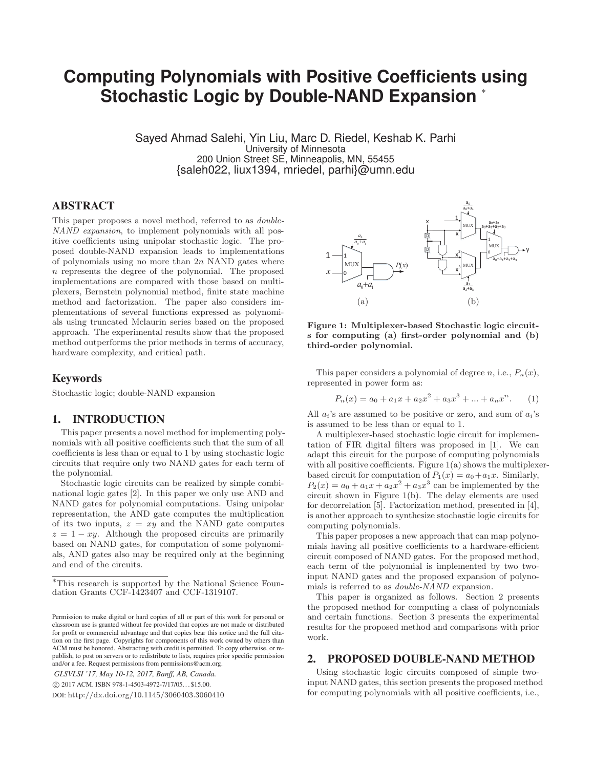# **Computer Compute Compute-NAND Expansion** ∗

Sayed Ahmad Salehi, Yin Liu, Marc D. Riedel, Keshab K. Parhi University of Minnesota 200 Union Street SE, Minneapolis, MN, 55455 {saleh022, liux1394, mriedel, parhi}@umn.edu

# ABSTRACT

This paper proposes a novel method, referred to as double-NAND expansion, to implement polynomials with all positive coefficients using unipolar stochastic logic. The proposed double-NAND expansion leads to implementations of polynomials using no more than  $2n$  NAND gates where n represents the degree of the polynomial. The proposed implementations are compared with those based on multiplexers, Bernstein polynomial method, finite state machine method and factorization. The paper also considers implementations of several functions expressed as polynomials using truncated Mclaurin series based on the proposed approach. The experimental results show that the proposed method outperforms the prior methods in terms of accuracy, hardware complexity, and critical path.

## Keywords

Stochastic logic; double-NAND expansion

# 1. INTRODUCTION

This paper presents a novel method for implementing polynomials with all positive coefficients such that the sum of all coefficients is less than or equal to 1 by using stochastic logic circuits that require only two NAND gates for each term of the polynomial.

Stochastic logic circuits can be realized by simple combinational logic gates [2]. In this paper we only use AND and NAND gates for polynomial computations. Using unipolar representation, the AND gate computes the multiplication of its two inputs,  $z = xy$  and the NAND gate computes  $z = 1 - xy$ . Although the proposed circuits are primarily based on NAND gates, for computation of some polynomials, AND gates also may be required only at the beginning and end of the circuits.

*GLSVLSI '17, May 10-12, 2017, Banff, AB, Canada.*

-c 2017 ACM. ISBN 978-1-4503-4972-7/17/05. . . \$15.00.

DOI: http://dx.doi.org/10.1145/3060403.3060410



**Figure 1: Multiplexer-based Stochastic logic circuits for computing (a) first-order polynomial and (b) third-order polynomial.**

This paper considers a polynomial of degree  $n$ , i.e.,  $P_n(x)$ , represented in power form as:

$$
P_n(x) = a_0 + a_1x + a_2x^2 + a_3x^3 + \dots + a_nx^n.
$$
 (1)

All  $a_i$ 's are assumed to be positive or zero, and sum of  $a_i$ 's is assumed to be less than or equal to 1.

A multiplexer-based stochastic logic circuit for implementation of FIR digital filters was proposed in [1]. We can adapt this circuit for the purpose of computing polynomials with all positive coefficients. Figure  $1(a)$  shows the multiplexerbased circuit for computation of  $P_1(x) = a_0 + a_1x$ . Similarly,  $P_2(x) = a_0 + a_1x + a_2x^2 + a_3x^3$  can be implemented by the circuit shown in Figure 1(b). The delay elements are used for decorrelation [5]. Factorization method, presented in [4], is another approach to synthesize stochastic logic circuits for computing polynomials.

This paper proposes a new approach that can map polynomials having all positive coefficients to a hardware-efficient circuit composed of NAND gates. For the proposed method, each term of the polynomial is implemented by two twoinput NAND gates and the proposed expansion of polynomials is referred to as double-NAND expansion.

This paper is organized as follows. Section 2 presents the proposed method for computing a class of polynomials and certain functions. Section 3 presents the experimental results for the proposed method and comparisons with prior work.

#### 2. PROPOSED DOUBLE-NAND METHOD

Using stochastic logic circuits composed of simple twoinput NAND gates, this section presents the proposed method for computing polynomials with all positive coefficients, i.e.,

<sup>∗</sup>This research is supported by the National Science Foundation Grants CCF-1423407 and CCF-1319107.

Permission to make digital or hard copies of all or part of this work for personal or classroom use is granted without fee provided that copies are not made or distributed for profit or commercial advantage and that copies bear this notice and the full citation on the first page. Copyrights for components of this work owned by others than ACM must be honored. Abstracting with credit is permitted. To copy otherwise, or republish, to post on servers or to redistribute to lists, requires prior specific permission and/or a fee. Request permissions from permissions@acm.org.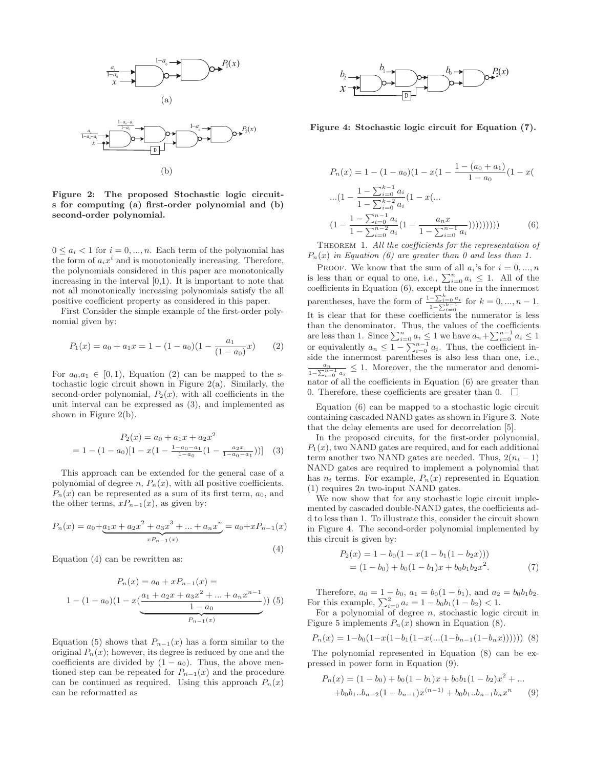

**Figure 2: The proposed Stochastic logic circuits for computing (a) first-order polynomial and (b) second-order polynomial.**

 $0 \leq a_i < 1$  for  $i = 0, ..., n$ . Each term of the polynomial has the form of  $a_i x^i$  and is monotonically increasing. Therefore, the polynomials considered in this paper are monotonically increasing in the interval  $[0,1)$ . It is important to note that not all monotonically increasing polynomials satisfy the all positive coefficient property as considered in this paper.

First Consider the simple example of the first-order polynomial given by:

$$
P_1(x) = a_0 + a_1 x = 1 - (1 - a_0)(1 - \frac{a_1}{(1 - a_0)}x)
$$
 (2)

For  $a_0,a_1 \in [0,1)$ , Equation (2) can be mapped to the stochastic logic circuit shown in Figure 2(a). Similarly, the second-order polynomial,  $P_2(x)$ , with all coefficients in the unit interval can be expressed as (3), and implemented as shown in Figure 2(b).

$$
P_2(x) = a_0 + a_1 x + a_2 x^2
$$
  
= 1 - (1 - a\_0)[1 - x(1 - \frac{1 - a\_0 - a\_1}{1 - a\_0}(1 - \frac{a\_2 x}{1 - a\_0 - a\_1}))] (3)

This approach can be extended for the general case of a polynomial of degree  $n$ ,  $P_n(x)$ , with all positive coefficients.  $P_n(x)$  can be represented as a sum of its first term,  $a_0$ , and the other terms,  $xP_{n-1}(x)$ , as given by:

$$
P_n(x) = a_0 + \underbrace{a_1x + a_2x^2 + a_3x^3 + \dots + a_nx^n}_{xP_{n-1}(x)} = a_0 + xP_{n-1}(x)
$$
\n<sup>(4)</sup>

Equation (4) can be rewritten as:

$$
P_n(x) = a_0 + xP_{n-1}(x) =
$$
  
1 - (1 - a<sub>0</sub>)(1 - x( $\frac{a_1 + a_2x + a_3x^2 + \dots + a_nx^{n-1}}{1 - a_0}$ ))(5)  

$$
P_{n-1}(x)
$$

Equation (5) shows that  $P_{n-1}(x)$  has a form similar to the original  $P_n(x)$ ; however, its degree is reduced by one and the coefficients are divided by  $(1 - a_0)$ . Thus, the above mentioned step can be repeated for  $P_{n-1}(x)$  and the procedure can be continued as required. Using this approach  $P_n(x)$ can be reformatted as



**Figure 4: Stochastic logic circuit for Equation (7).**

$$
P_n(x) = 1 - (1 - a_0)(1 - x(1 - \frac{1 - (a_0 + a_1)}{1 - a_0})(1 - x(1 - \frac{1 - \sum_{i=0}^{k-1} a_i}{1 - \sum_{i=0}^{k-2} a_i}(1 - x(...
$$

$$
(1 - \frac{1 - \sum_{i=0}^{n-1} a_i}{1 - \sum_{i=0}^{n-2} a_i}(1 - \frac{a_n x}{1 - \sum_{i=0}^{n-1} a_i}))))))))))
$$
(6)

THEOREM 1. All the coefficients for the representation of  $P_n(x)$  in Equation (6) are greater than 0 and less than 1.

PROOF. We know that the sum of all  $a_i$ 's for  $i = 0, ..., n$ is less than or equal to one, i.e.,  $\sum_{i=0}^{n} a_i \leq 1$ . All of the coefficients in Equation (6), except the one in the innermost parentheses, have the form of  $\frac{1-\sum_{i=0}^{k} a_i}{1-\sum_{i=1}^{k-1} a_i}$  $\frac{-\sum_{i=0}^{n} a_i}{1-\sum_{i=0}^{k-1}}$  for  $k=0, ..., n-1$ . It is clear that for these coefficients the numerator is less than the denominator. Thus, the values of the coefficients are less than 1. Since  $\sum_{i=0}^{n} a_i \leq 1$  we have  $a_n + \sum_{i=0}^{n-1} a_i \leq 1$ or equivalently  $a_n \leq 1 - \sum_{i=0}^{n-1} a_i$ . Thus, the coefficient inside the innermost parentheses is also less than one, i.e., an  $\frac{a_n}{1-\sum_{i=0}^{n-1} a_i} \leq 1$ . Moreover, the the numerator and denominator of all the coefficients in Equation (6) are greater than 0. Therefore, these coefficients are greater than 0.  $\Box$ 

Equation (6) can be mapped to a stochastic logic circuit containing cascaded NAND gates as shown in Figure 3. Note that the delay elements are used for decorrelation [5].

In the proposed circuits, for the first-order polynomial,  $P_1(x)$ , two NAND gates are required, and for each additional term another two NAND gates are needed. Thus,  $2(n_t - 1)$ NAND gates are required to implement a polynomial that has  $n_t$  terms. For example,  $P_n(x)$  represented in Equation  $(1)$  requires  $2n$  two-input NAND gates.

We now show that for any stochastic logic circuit implemented by cascaded double-NAND gates, the coefficients add to less than 1. To illustrate this, consider the circuit shown in Figure 4. The second-order polynomial implemented by this circuit is given by:

$$
P_2(x) = 1 - b_0(1 - x(1 - b_1(1 - b_2x)))
$$
  
= (1 - b\_0) + b\_0(1 - b\_1)x + b\_0b\_1b\_2x<sup>2</sup>. (7)

Therefore,  $a_0 = 1 - b_0$ ,  $a_1 = b_0(1 - b_1)$ , and  $a_2 = b_0b_1b_2$ .<br>For this example,  $\sum_{i=0}^{2} a_i = 1 - b_0b_1(1 - b_2) < 1$ .

For a polynomial of degree  $n$ , stochastic logic circuit in Figure 5 implements  $P_n(x)$  shown in Equation (8).

$$
P_n(x) = 1 - b_0(1 - x(1 - b_1(1 - x(\dots(1 - b_{n-1}(1 - b_n x))))))
$$
 (8)

The polynomial represented in Equation (8) can be expressed in power form in Equation (9).

$$
P_n(x) = (1 - b_0) + b_0(1 - b_1)x + b_0b_1(1 - b_2)x^2 + \dots
$$
  
+
$$
+b_0b_1...b_{n-2}(1 - b_{n-1})x^{(n-1)} + b_0b_1...b_{n-1}b_nx^n
$$
 (9)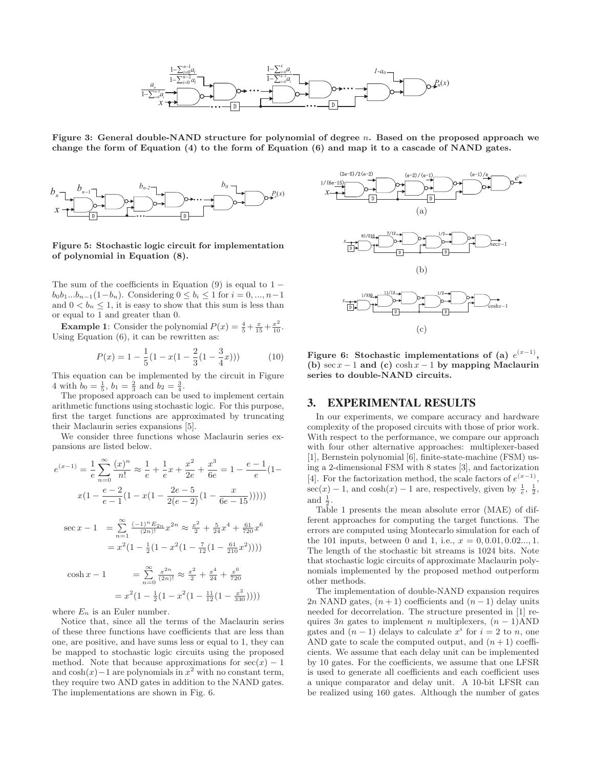

**Figure 3: General double-NAND structure for polynomial of degree** n**. Based on the proposed approach we change the form of Equation (4) to the form of Equation (6) and map it to a cascade of NAND gates.**



**Figure 5: Stochastic logic circuit for implementation of polynomial in Equation (8).**

The sum of the coefficients in Equation (9) is equal to  $1$  $b_0b_1...b_{n-1}(1-b_n)$ . Considering  $0 \leq b_i \leq 1$  for  $i = 0, ..., n-1$ and  $0 < b_n \leq 1$ , it is easy to show that this sum is less than or equal to 1 and greater than 0.

**Example 1**: Consider the polynomial  $P(x) = \frac{4}{5} + \frac{x}{15} + \frac{x^2}{10}$ . Using Equation (6), it can be rewritten as:

$$
P(x) = 1 - \frac{1}{5}(1 - x(1 - \frac{2}{3}(1 - \frac{3}{4}x)))
$$
 (10)

This equation can be implemented by the circuit in Figure 4 with  $b_0 = \frac{1}{5}$ ,  $b_1 = \frac{2}{3}$  and  $b_2 = \frac{3}{4}$ .

The proposed approach can be used to implement certain arithmetic functions using stochastic logic. For this purpose, first the target functions are approximated by truncating their Maclaurin series expansions [5].

We consider three functions whose Maclaurin series expansions are listed below.

$$
e^{(x-1)} = \frac{1}{e} \sum_{n=0}^{\infty} \frac{(x)^n}{n!} \approx \frac{1}{e} + \frac{1}{e}x + \frac{x^2}{2e} + \frac{x^3}{6e} = 1 - \frac{e-1}{e}(1 - x(1 - \frac{2e-5}{2(e-2)}(1 - \frac{x}{6e-15}))))
$$
  
\n
$$
\sec x - 1 = \sum_{n=1}^{\infty} \frac{(-1)^n E_{2n}}{(2n)!} x^{2n} \approx \frac{x^2}{2} + \frac{5}{24}x^4 + \frac{61}{720}x^6
$$
  
\n
$$
= x^2 (1 - \frac{1}{2}(1 - x^2(1 - \frac{7}{12}(1 - \frac{61}{210}x^2))))
$$
  
\n
$$
\cosh x - 1 = \sum_{n=0}^{\infty} \frac{x^{2n}}{(2n)!} \approx \frac{x^2}{2} + \frac{x^4}{24} + \frac{x^6}{720}
$$

 $= x^2(1 - \frac{1}{2}(1 - x^2(1 - \frac{11}{12}(1 - \frac{x^2}{330}))))$ 

where  $E_n$  is an Euler number.

Notice that, since all the terms of the Maclaurin series of these three functions have coefficients that are less than one, are positive, and have sums less or equal to 1, they can be mapped to stochastic logic circuits using the proposed method. Note that because approximations for  $sec(x) - 1$ and  $cosh(x)$ −1 are polynomials in  $x^2$  with no constant term, they require two AND gates in addition to the NAND gates. The implementations are shown in Fig. 6.



**Figure 6:** Stochastic implementations of (a)  $e^{(x-1)}$ , **(b)** sec x − 1 **and (c)** cosh x − 1 **by mapping Maclaurin series to double-NAND circuits.**

## 3. EXPERIMENTAL RESULTS

In our experiments, we compare accuracy and hardware complexity of the proposed circuits with those of prior work. With respect to the performance, we compare our approach with four other alternative approaches: multiplexer-based [1], Bernstein polynomial [6], finite-state-machine (FSM) using a 2-dimensional FSM with 8 states [3], and factorization [4]. For the factorization method, the scale factors of  $e^{(x-1)}$ ,  $sec(x) - 1$ , and  $cosh(x) - 1$  are, respectively, given by  $\frac{1}{e}$ ,  $\frac{1}{2}$ , and  $\frac{1}{2}$ .

Table 1 presents the mean absolute error (MAE) of different approaches for computing the target functions. The errors are computed using Montecarlo simulation for each of the 101 inputs, between 0 and 1, i.e.,  $x = 0, 0.01, 0.02...$ , 1. The length of the stochastic bit streams is 1024 bits. Note that stochastic logic circuits of approximate Maclaurin polynomials implemented by the proposed method outperform other methods.

The implementation of double-NAND expansion requires 2n NAND gates,  $(n+1)$  coefficients and  $(n-1)$  delay units needed for decorrelation. The structure presented in [1] requires 3n gates to implement n multiplexers,  $(n - 1)$ AND gates and  $(n-1)$  delays to calculate  $x^i$  for  $i = 2$  to n, one AND gate to scale the computed output, and  $(n+1)$  coefficients. We assume that each delay unit can be implemented by 10 gates. For the coefficients, we assume that one LFSR is used to generate all coefficients and each coefficient uses a unique comparator and delay unit. A 10-bit LFSR can be realized using 160 gates. Although the number of gates